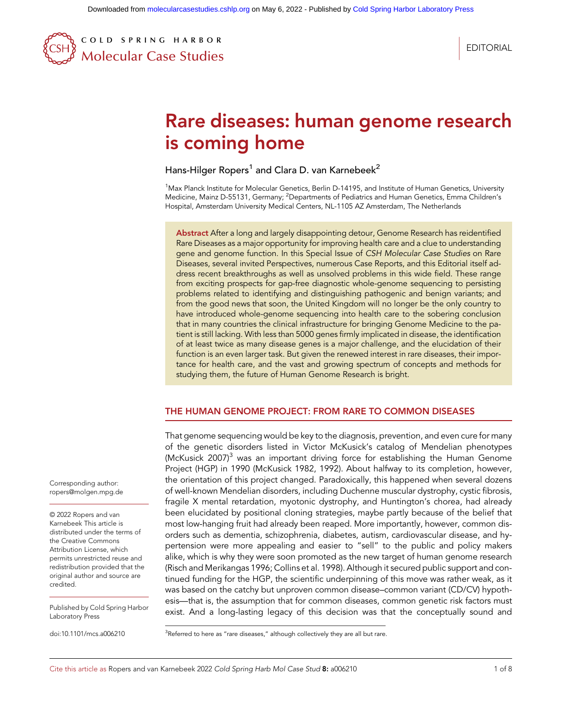COLD SPRING HARBOR Molecular Case Studies

**EDITORIAL** 

# Rare diseases: human genome research is coming home

Hans-Hilger Ropers<sup>1</sup> and Clara D. van Karnebeek<sup>2</sup>

<sup>1</sup>Max Planck Institute for Molecular Genetics, Berlin D-14195, and Institute of Human Genetics, University Medicine, Mainz D-55131, Germany; <sup>2</sup>Departments of Pediatrics and Human Genetics, Emma Children's Hospital, Amsterdam University Medical Centers, NL-1105 AZ Amsterdam, The Netherlands

Abstract After a long and largely disappointing detour, Genome Research has reidentified Rare Diseases as a major opportunity for improving health care and a clue to understanding gene and genome function. In this Special Issue of CSH Molecular Case Studies on Rare Diseases, several invited Perspectives, numerous Case Reports, and this Editorial itself address recent breakthroughs as well as unsolved problems in this wide field. These range from exciting prospects for gap-free diagnostic whole-genome sequencing to persisting problems related to identifying and distinguishing pathogenic and benign variants; and from the good news that soon, the United Kingdom will no longer be the only country to have introduced whole-genome sequencing into health care to the sobering conclusion that in many countries the clinical infrastructure for bringing Genome Medicine to the patient is still lacking. With less than 5000 genes firmly implicated in disease, the identification of at least twice as many disease genes is a major challenge, and the elucidation of their function is an even larger task. But given the renewed interest in rare diseases, their importance for health care, and the vast and growing spectrum of concepts and methods for studying them, the future of Human Genome Research is bright.

# THE HUMAN GENOME PROJECT: FROM RARE TO COMMON DISEASES

That genome sequencing would be key to the diagnosis, prevention, and even cure for many of the genetic disorders listed in Victor McKusick's catalog of Mendelian phenotypes (McKusick 2007) $3$  was an important driving force for establishing the Human Genome Project (HGP) in 1990 (McKusick 1982, 1992). About halfway to its completion, however, the orientation of this project changed. Paradoxically, this happened when several dozens of well-known Mendelian disorders, including Duchenne muscular dystrophy, cystic fibrosis, fragile X mental retardation, myotonic dystrophy, and Huntington's chorea, had already been elucidated by positional cloning strategies, maybe partly because of the belief that most low-hanging fruit had already been reaped. More importantly, however, common disorders such as dementia, schizophrenia, diabetes, autism, cardiovascular disease, and hypertension were more appealing and easier to "sell" to the public and policy makers alike, which is why they were soon promoted as the new target of human genome research (Risch and Merikangas 1996; Collins et al. 1998). Although it secured public support and continued funding for the HGP, the scientific underpinning of this move was rather weak, as it was based on the catchy but unproven common disease–common variant (CD/CV) hypothesis—that is, the assumption that for common diseases, common genetic risk factors must exist. And a long-lasting legacy of this decision was that the conceptually sound and

 $3$ Referred to here as "rare diseases," although collectively they are all but rare.

Corresponding author: [ropers@molgen.mpg.de](mailto:ropers@molgen.mpg.de)

[© 2022 Ropers and van](http://www.molecularcasestudies.cshlp.org/site/misc/terms.xhtml) [Karnebeek](http://www.molecularcasestudies.cshlp.org/site/misc/terms.xhtml) This article is distributed under the terms of the [Creative Commons](http://creativecommons.org/licenses/by/4.0/) [Attribution License](http://creativecommons.org/licenses/by/4.0/), which permits unrestricted reuse and redistribution provided that the original author and source are credited.

Published by Cold Spring Harbor Laboratory Press

doi:10.1101/mcs.a006210 <sup>3</sup>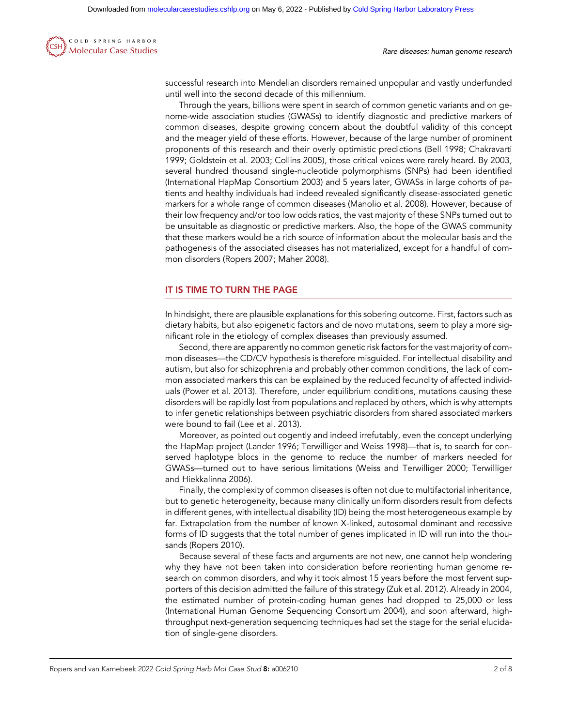

successful research into Mendelian disorders remained unpopular and vastly underfunded until well into the second decade of this millennium.

Through the years, billions were spent in search of common genetic variants and on genome-wide association studies (GWASs) to identify diagnostic and predictive markers of common diseases, despite growing concern about the doubtful validity of this concept and the meager yield of these efforts. However, because of the large number of prominent proponents of this research and their overly optimistic predictions (Bell 1998; Chakravarti 1999; Goldstein et al. 2003; Collins 2005), those critical voices were rarely heard. By 2003, several hundred thousand single-nucleotide polymorphisms (SNPs) had been identified (International HapMap Consortium 2003) and 5 years later, GWASs in large cohorts of patients and healthy individuals had indeed revealed significantly disease-associated genetic markers for a whole range of common diseases (Manolio et al. 2008). However, because of their low frequency and/or too low odds ratios, the vast majority of these SNPs turned out to be unsuitable as diagnostic or predictive markers. Also, the hope of the GWAS community that these markers would be a rich source of information about the molecular basis and the pathogenesis of the associated diseases has not materialized, except for a handful of common disorders (Ropers 2007; Maher 2008).

#### IT IS TIME TO TURN THE PAGE

In hindsight, there are plausible explanations for this sobering outcome. First, factors such as dietary habits, but also epigenetic factors and de novo mutations, seem to play a more significant role in the etiology of complex diseases than previously assumed.

Second, there are apparently no common genetic risk factors for the vast majority of common diseases—the CD/CV hypothesis is therefore misguided. For intellectual disability and autism, but also for schizophrenia and probably other common conditions, the lack of common associated markers this can be explained by the reduced fecundity of affected individuals (Power et al. 2013). Therefore, under equilibrium conditions, mutations causing these disorders will be rapidly lost from populations and replaced by others, which is why attempts to infer genetic relationships between psychiatric disorders from shared associated markers were bound to fail (Lee et al. 2013).

Moreover, as pointed out cogently and indeed irrefutably, even the concept underlying the HapMap project (Lander 1996; Terwilliger and Weiss 1998)—that is, to search for conserved haplotype blocs in the genome to reduce the number of markers needed for GWASs—turned out to have serious limitations (Weiss and Terwilliger 2000; Terwilliger and Hiekkalinna 2006).

Finally, the complexity of common diseases is often not due to multifactorial inheritance, but to genetic heterogeneity, because many clinically uniform disorders result from defects in different genes, with intellectual disability (ID) being the most heterogeneous example by far. Extrapolation from the number of known X-linked, autosomal dominant and recessive forms of ID suggests that the total number of genes implicated in ID will run into the thousands (Ropers 2010).

Because several of these facts and arguments are not new, one cannot help wondering why they have not been taken into consideration before reorienting human genome research on common disorders, and why it took almost 15 years before the most fervent supporters of this decision admitted the failure of this strategy (Zuk et al. 2012). Already in 2004, the estimated number of protein-coding human genes had dropped to 25,000 or less (International Human Genome Sequencing Consortium 2004), and soon afterward, highthroughput next-generation sequencing techniques had set the stage for the serial elucidation of single-gene disorders.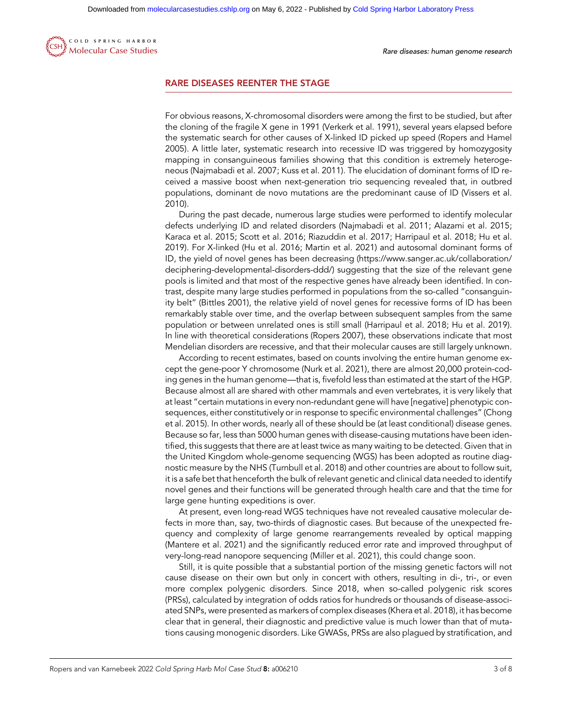

#### RARE DISEASES REENTER THE STAGE

For obvious reasons, X-chromosomal disorders were among the first to be studied, but after the cloning of the fragile X gene in 1991 (Verkerk et al. 1991), several years elapsed before the systematic search for other causes of X-linked ID picked up speed (Ropers and Hamel 2005). A little later, systematic research into recessive ID was triggered by homozygosity mapping in consanguineous families showing that this condition is extremely heterogeneous (Najmabadi et al. 2007; Kuss et al. 2011). The elucidation of dominant forms of ID received a massive boost when next-generation trio sequencing revealed that, in outbred populations, dominant de novo mutations are the predominant cause of ID (Vissers et al. 2010).

During the past decade, numerous large studies were performed to identify molecular defects underlying ID and related disorders (Najmabadi et al. 2011; Alazami et al. 2015; Karaca et al. 2015; Scott et al. 2016; Riazuddin et al. 2017; Harripaul et al. 2018; Hu et al. 2019). For X-linked (Hu et al. 2016; Martin et al. 2021) and autosomal dominant forms of ID, the yield of novel genes has been decreasing [\(https://www.sanger.ac.uk/collaboration/](https://www.sanger.ac.uk/collaboration/deciphering-developmental-disorders-ddd/) [deciphering-developmental-disorders-ddd/\)](https://www.sanger.ac.uk/collaboration/deciphering-developmental-disorders-ddd/) suggesting that the size of the relevant gene pools is limited and that most of the respective genes have already been identified. In contrast, despite many large studies performed in populations from the so-called "consanguinity belt" (Bittles 2001), the relative yield of novel genes for recessive forms of ID has been remarkably stable over time, and the overlap between subsequent samples from the same population or between unrelated ones is still small (Harripaul et al. 2018; Hu et al. 2019). In line with theoretical considerations (Ropers 2007), these observations indicate that most Mendelian disorders are recessive, and that their molecular causes are still largely unknown.

According to recent estimates, based on counts involving the entire human genome except the gene-poor Y chromosome (Nurk et al. 2021), there are almost 20,000 protein-coding genes in the human genome—that is, fivefold less than estimated at the start of the HGP. Because almost all are shared with other mammals and even vertebrates, it is very likely that at least "certain mutations in every non-redundant gene will have [negative] phenotypic consequences, either constitutively or in response to specific environmental challenges" (Chong et al. 2015). In other words, nearly all of these should be (at least conditional) disease genes. Because so far, less than 5000 human genes with disease-causing mutations have been identified, this suggests that there are at least twice as many waiting to be detected. Given that in the United Kingdom whole-genome sequencing (WGS) has been adopted as routine diagnostic measure by the NHS (Turnbull et al. 2018) and other countries are about to follow suit, it is a safe bet that henceforth the bulk of relevant genetic and clinical data needed to identify novel genes and their functions will be generated through health care and that the time for large gene hunting expeditions is over.

At present, even long-read WGS techniques have not revealed causative molecular defects in more than, say, two-thirds of diagnostic cases. But because of the unexpected frequency and complexity of large genome rearrangements revealed by optical mapping (Mantere et al. 2021) and the significantly reduced error rate and improved throughput of very-long-read nanopore sequencing (Miller et al. 2021), this could change soon.

Still, it is quite possible that a substantial portion of the missing genetic factors will not cause disease on their own but only in concert with others, resulting in di-, tri-, or even more complex polygenic disorders. Since 2018, when so-called polygenic risk scores (PRSs), calculated by integration of odds ratios for hundreds or thousands of disease-associated SNPs, were presented as markers of complex diseases (Khera et al. 2018), it has become clear that in general, their diagnostic and predictive value is much lower than that of mutations causing monogenic disorders. Like GWASs, PRSs are also plagued by stratification, and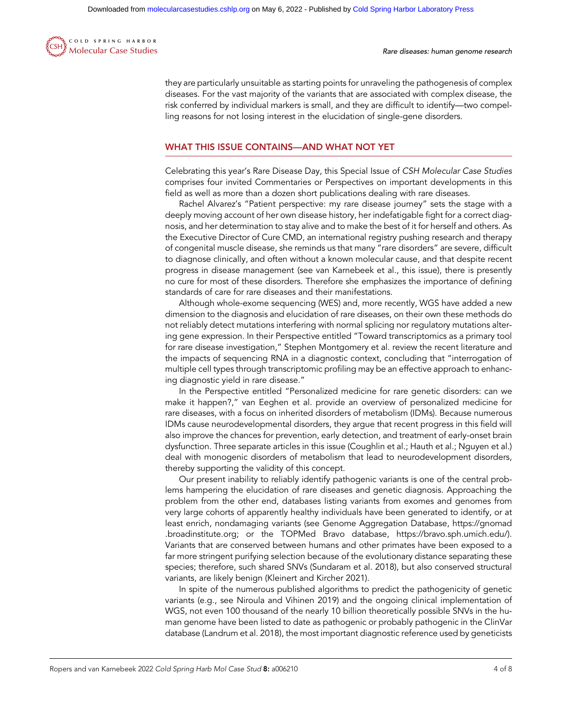

they are particularly unsuitable as starting points for unraveling the pathogenesis of complex diseases. For the vast majority of the variants that are associated with complex disease, the risk conferred by individual markers is small, and they are difficult to identify—two compelling reasons for not losing interest in the elucidation of single-gene disorders.

## WHAT THIS ISSUE CONTAINS—AND WHAT NOT YET

Celebrating this year's Rare Disease Day, this Special Issue of CSH Molecular Case Studies comprises four invited Commentaries or Perspectives on important developments in this field as well as more than a dozen short publications dealing with rare diseases.

Rachel Alvarez's "Patient perspective: my rare disease journey" sets the stage with a deeply moving account of her own disease history, her indefatigable fight for a correct diagnosis, and her determination to stay alive and to make the best of it for herself and others. As the Executive Director of Cure CMD, an international registry pushing research and therapy of congenital muscle disease, she reminds us that many "rare disorders" are severe, difficult to diagnose clinically, and often without a known molecular cause, and that despite recent progress in disease management (see van Karnebeek et al., this issue), there is presently no cure for most of these disorders. Therefore she emphasizes the importance of defining standards of care for rare diseases and their manifestations.

Although whole-exome sequencing (WES) and, more recently, WGS have added a new dimension to the diagnosis and elucidation of rare diseases, on their own these methods do not reliably detect mutations interfering with normal splicing nor regulatory mutations altering gene expression. In their Perspective entitled "Toward transcriptomics as a primary tool for rare disease investigation," Stephen Montgomery et al. review the recent literature and the impacts of sequencing RNA in a diagnostic context, concluding that "interrogation of multiple cell types through transcriptomic profiling may be an effective approach to enhancing diagnostic yield in rare disease."

In the Perspective entitled "Personalized medicine for rare genetic disorders: can we make it happen?," van Eeghen et al. provide an overview of personalized medicine for rare diseases, with a focus on inherited disorders of metabolism (IDMs). Because numerous IDMs cause neurodevelopmental disorders, they argue that recent progress in this field will also improve the chances for prevention, early detection, and treatment of early-onset brain dysfunction. Three separate articles in this issue (Coughlin et al.; Hauth et al.; Nguyen et al.) deal with monogenic disorders of metabolism that lead to neurodevelopment disorders, thereby supporting the validity of this concept.

Our present inability to reliably identify pathogenic variants is one of the central problems hampering the elucidation of rare diseases and genetic diagnosis. Approaching the problem from the other end, databases listing variants from exomes and genomes from very large cohorts of apparently healthy individuals have been generated to identify, or at least enrich, nondamaging variants (see Genome Aggregation Database, [https://gnomad](https://gnomad.broadinstitute.org) [.broadinstitute.org;](https://gnomad.broadinstitute.org) or the TOPMed Bravo database,<https://bravo.sph.umich.edu/>). Variants that are conserved between humans and other primates have been exposed to a far more stringent purifying selection because of the evolutionary distance separating these species; therefore, such shared SNVs (Sundaram et al. 2018), but also conserved structural variants, are likely benign (Kleinert and Kircher 2021).

In spite of the numerous published algorithms to predict the pathogenicity of genetic variants (e.g., see Niroula and Vihinen 2019) and the ongoing clinical implementation of WGS, not even 100 thousand of the nearly 10 billion theoretically possible SNVs in the human genome have been listed to date as pathogenic or probably pathogenic in the ClinVar database (Landrum et al. 2018), the most important diagnostic reference used by geneticists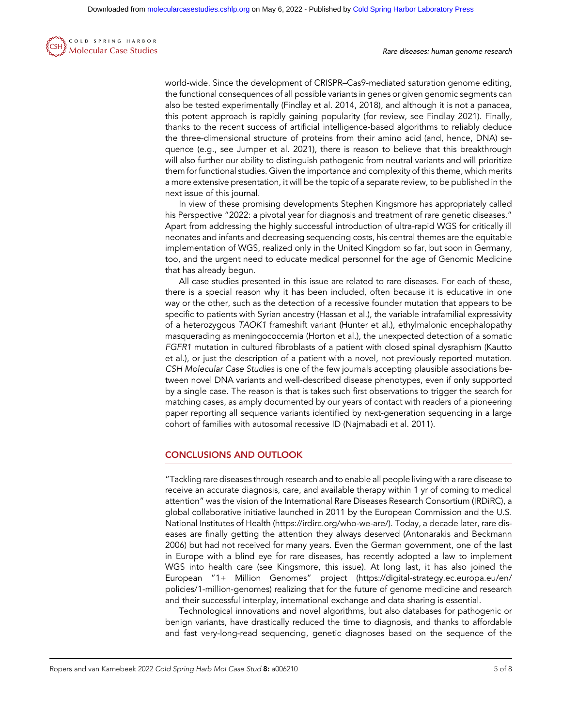

world-wide. Since the development of CRISPR–Cas9-mediated saturation genome editing, the functional consequences of all possible variants in genes or given genomic segments can also be tested experimentally (Findlay et al. 2014, 2018), and although it is not a panacea, this potent approach is rapidly gaining popularity (for review, see Findlay 2021). Finally, thanks to the recent success of artificial intelligence-based algorithms to reliably deduce the three-dimensional structure of proteins from their amino acid (and, hence, DNA) sequence (e.g., see Jumper et al. 2021), there is reason to believe that this breakthrough will also further our ability to distinguish pathogenic from neutral variants and will prioritize them for functional studies. Given the importance and complexity of this theme, which merits a more extensive presentation, it will be the topic of a separate review, to be published in the next issue of this journal.

In view of these promising developments Stephen Kingsmore has appropriately called his Perspective "2022: a pivotal year for diagnosis and treatment of rare genetic diseases." Apart from addressing the highly successful introduction of ultra-rapid WGS for critically ill neonates and infants and decreasing sequencing costs, his central themes are the equitable implementation of WGS, realized only in the United Kingdom so far, but soon in Germany, too, and the urgent need to educate medical personnel for the age of Genomic Medicine that has already begun.

All case studies presented in this issue are related to rare diseases. For each of these, there is a special reason why it has been included, often because it is educative in one way or the other, such as the detection of a recessive founder mutation that appears to be specific to patients with Syrian ancestry (Hassan et al.), the variable intrafamilial expressivity of a heterozygous TAOK1 frameshift variant (Hunter et al.), ethylmalonic encephalopathy masquerading as meningococcemia (Horton et al.), the unexpected detection of a somatic FGFR1 mutation in cultured fibroblasts of a patient with closed spinal dysraphism (Kautto et al.), or just the description of a patient with a novel, not previously reported mutation. CSH Molecular Case Studies is one of the few journals accepting plausible associations between novel DNA variants and well-described disease phenotypes, even if only supported by a single case. The reason is that is takes such first observations to trigger the search for matching cases, as amply documented by our years of contact with readers of a pioneering paper reporting all sequence variants identified by next-generation sequencing in a large cohort of families with autosomal recessive ID (Najmabadi et al. 2011).

## CONCLUSIONS AND OUTLOOK

"Tackling rare diseases through research and to enable all people living with a rare disease to receive an accurate diagnosis, care, and available therapy within 1 yr of coming to medical attention" was the vision of the International Rare Diseases Research Consortium (IRDiRC), a global collaborative initiative launched in 2011 by the European Commission and the U.S. National Institutes of Health (<https://irdirc.org/who-we-are/>). Today, a decade later, rare diseases are finally getting the attention they always deserved (Antonarakis and Beckmann 2006) but had not received for many years. Even the German government, one of the last in Europe with a blind eye for rare diseases, has recently adopted a law to implement WGS into health care (see Kingsmore, this issue). At long last, it has also joined the European "1+ Million Genomes" project ([https://digital-strategy.ec.europa.eu/en/](https://digital-strategy.ec.europa.eu/en/policies/1-million-genomes) [policies/1-million-genomes\)](https://digital-strategy.ec.europa.eu/en/policies/1-million-genomes) realizing that for the future of genome medicine and research and their successful interplay, international exchange and data sharing is essential.

Technological innovations and novel algorithms, but also databases for pathogenic or benign variants, have drastically reduced the time to diagnosis, and thanks to affordable and fast very-long-read sequencing, genetic diagnoses based on the sequence of the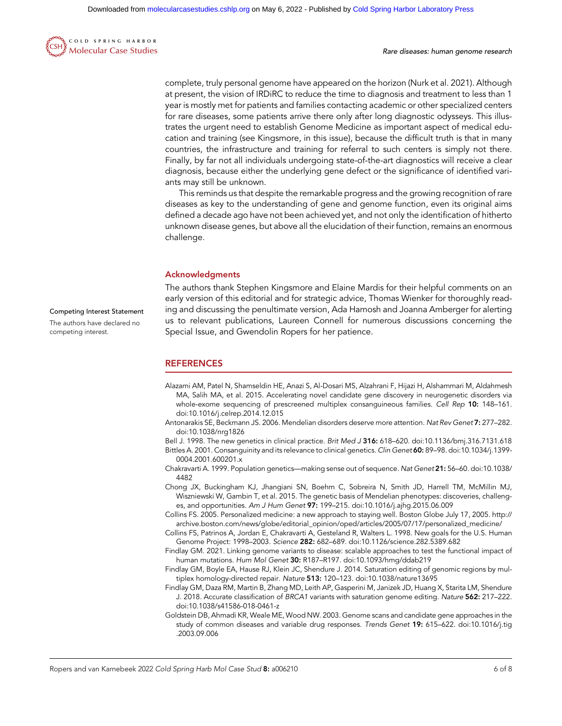

complete, truly personal genome have appeared on the horizon (Nurk et al. 2021). Although at present, the vision of IRDiRC to reduce the time to diagnosis and treatment to less than 1 year is mostly met for patients and families contacting academic or other specialized centers for rare diseases, some patients arrive there only after long diagnostic odysseys. This illustrates the urgent need to establish Genome Medicine as important aspect of medical education and training (see Kingsmore, in this issue), because the difficult truth is that in many countries, the infrastructure and training for referral to such centers is simply not there. Finally, by far not all individuals undergoing state-of-the-art diagnostics will receive a clear diagnosis, because either the underlying gene defect or the significance of identified variants may still be unknown.

This reminds us that despite the remarkable progress and the growing recognition of rare diseases as key to the understanding of gene and genome function, even its original aims defined a decade ago have not been achieved yet, and not only the identification of hitherto unknown disease genes, but above all the elucidation of their function, remains an enormous challenge.

#### Acknowledgments

The authors thank Stephen Kingsmore and Elaine Mardis for their helpful comments on an early version of this editorial and for strategic advice, Thomas Wienker for thoroughly reading and discussing the penultimate version, Ada Hamosh and Joanna Amberger for alerting us to relevant publications, Laureen Connell for numerous discussions concerning the Special Issue, and Gwendolin Ropers for her patience.

#### **REFERENCES**

- Alazami AM, Patel N, Shamseldin HE, Anazi S, Al-Dosari MS, Alzahrani F, Hijazi H, Alshammari M, Aldahmesh MA, Salih MA, et al. 2015. Accelerating novel candidate gene discovery in neurogenetic disorders via whole-exome sequencing of prescreened multiplex consanguineous families. Cell Rep 10: 148–161. doi:10.1016/j.celrep.2014.12.015
- Antonarakis SE, Beckmann JS. 2006. Mendelian disorders deserve more attention. Nat Rev Genet 7: 277–282. doi:10.1038/nrg1826
- Bell J. 1998. The new genetics in clinical practice. Brit Med J 316: 618–620. doi:10.1136/bmj.316.7131.618

Bittles A. 2001. Consanguinity and its relevance to clinical genetics. Clin Genet 60: 89–98. doi:10.1034/j.1399- 0004.2001.600201.x

- Chakravarti A. 1999. Population genetics—making sense out of sequence. Nat Genet 21: 56–60. doi:10.1038/ 4482
- Chong JX, Buckingham KJ, Jhangiani SN, Boehm C, Sobreira N, Smith JD, Harrell TM, McMillin MJ, Wiszniewski W, Gambin T, et al. 2015. The genetic basis of Mendelian phenotypes: discoveries, challenges, and opportunities. Am J Hum Genet 97: 199–215. doi:10.1016/j.ajhg.2015.06.009
- Collins FS. 2005. Personalized medicine: a new approach to staying well. Boston Globe July 17, 2005. [http://](http://archive.boston.com/news/globe/editorial_opinion/oped/articles/2005/07/17/personalized_medicine/) [archive.boston.com/news/globe/editorial\\_opinion/oped/articles/2005/07/17/personalized\\_medicine/](http://archive.boston.com/news/globe/editorial_opinion/oped/articles/2005/07/17/personalized_medicine/)
- Collins FS, Patrinos A, Jordan E, Chakravarti A, Gesteland R, Walters L. 1998. New goals for the U.S. Human Genome Project: 1998–2003. Science 282: 682–689. doi:10.1126/science.282.5389.682
- Findlay GM. 2021. Linking genome variants to disease: scalable approaches to test the functional impact of human mutations. Hum Mol Genet 30: R187-R197. doi:10.1093/hmg/ddab219
- Findlay GM, Boyle EA, Hause RJ, Klein JC, Shendure J. 2014. Saturation editing of genomic regions by multiplex homology-directed repair. Nature 513: 120-123. doi:10.1038/nature13695
- Findlay GM, Daza RM, Martin B, Zhang MD, Leith AP, Gasperini M, Janizek JD, Huang X, Starita LM, Shendure J. 2018. Accurate classification of BRCA1 variants with saturation genome editing. Nature 562: 217-222. doi:10.1038/s41586-018-0461-z
- Goldstein DB, Ahmadi KR, Weale ME, Wood NW. 2003. Genome scans and candidate gene approaches in the study of common diseases and variable drug responses. Trends Genet 19: 615-622. doi:10.1016/j.tig .2003.09.006

Competing Interest Statement The authors have declared no competing interest.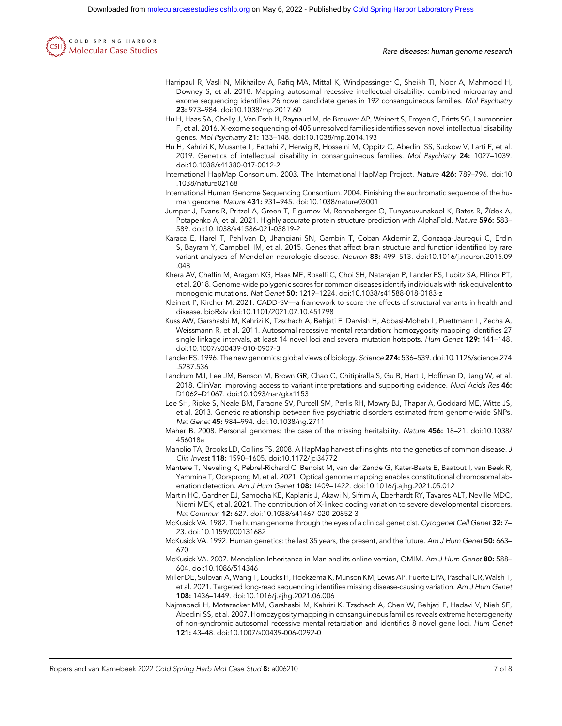

Rare diseases: human genome research

- Harripaul R, Vasli N, Mikhailov A, Rafiq MA, Mittal K, Windpassinger C, Sheikh TI, Noor A, Mahmood H, Downey S, et al. 2018. Mapping autosomal recessive intellectual disability: combined microarray and exome sequencing identifies 26 novel candidate genes in 192 consanguineous families. Mol Psychiatry 23: 973–984. doi:10.1038/mp.2017.60
- Hu H, Haas SA, Chelly J, Van Esch H, Raynaud M, de Brouwer AP, Weinert S, Froyen G, Frints SG, Laumonnier F, et al. 2016. X-exome sequencing of 405 unresolved families identifies seven novel intellectual disability genes. Mol Psychiatry 21: 133–148. doi:10.1038/mp.2014.193
- Hu H, Kahrizi K, Musante L, Fattahi Z, Herwig R, Hosseini M, Oppitz C, Abedini SS, Suckow V, Larti F, et al. 2019. Genetics of intellectual disability in consanguineous families. Mol Psychiatry 24: 1027–1039. doi:10.1038/s41380-017-0012-2
- International HapMap Consortium. 2003. The International HapMap Project. Nature 426: 789–796. doi:10 .1038/nature02168
- International Human Genome Sequencing Consortium. 2004. Finishing the euchromatic sequence of the human genome. Nature 431: 931–945. doi:10.1038/nature03001
- Jumper J, Evans R, Pritzel A, Green T, Figurnov M, Ronneberger O, Tunyasuvunakool K, Bates R, Žídek A, Potapenko A, et al. 2021. Highly accurate protein structure prediction with AlphaFold. Nature 596: 583-589. doi:10.1038/s41586-021-03819-2
- Karaca E, Harel T, Pehlivan D, Jhangiani SN, Gambin T, Coban Akdemir Z, Gonzaga-Jauregui C, Erdin S, Bayram Y, Campbell IM, et al. 2015. Genes that affect brain structure and function identified by rare variant analyses of Mendelian neurologic disease. Neuron 88: 499–513. doi:10.1016/j.neuron.2015.09 .048
- Khera AV, Chaffin M, Aragam KG, Haas ME, Roselli C, Choi SH, Natarajan P, Lander ES, Lubitz SA, Ellinor PT, et al. 2018. Genome-wide polygenic scores for common diseases identify individuals with risk equivalent to monogenic mutations. Nat Genet 50: 1219–1224. doi:10.1038/s41588-018-0183-z
- Kleinert P, Kircher M. 2021. CADD-SV—a framework to score the effects of structural variants in health and disease. bioRxiv doi:10.1101/2021.07.10.451798
- Kuss AW, Garshasbi M, Kahrizi K, Tzschach A, Behjati F, Darvish H, Abbasi-Moheb L, Puettmann L, Zecha A, Weissmann R, et al. 2011. Autosomal recessive mental retardation: homozygosity mapping identifies 27 single linkage intervals, at least 14 novel loci and several mutation hotspots. Hum Genet 129: 141-148. doi:10.1007/s00439-010-0907-3
- Lander ES. 1996. The new genomics: global views of biology. Science 274: 536–539. doi:10.1126/science.274 .5287.536
- Landrum MJ, Lee JM, Benson M, Brown GR, Chao C, Chitipiralla S, Gu B, Hart J, Hoffman D, Jang W, et al. 2018. ClinVar: improving access to variant interpretations and supporting evidence. Nucl Acids Res 46: D1062–D1067. doi:10.1093/nar/gkx1153
- Lee SH, Ripke S, Neale BM, Faraone SV, Purcell SM, Perlis RH, Mowry BJ, Thapar A, Goddard ME, Witte JS, et al. 2013. Genetic relationship between five psychiatric disorders estimated from genome-wide SNPs. Nat Genet 45: 984–994. doi:10.1038/ng.2711
- Maher B. 2008. Personal genomes: the case of the missing heritability. Nature 456: 18–21. doi:10.1038/ 456018a
- Manolio TA, Brooks LD, Collins FS. 2008. A HapMap harvest of insights into the genetics of common disease. J Clin Invest 118: 1590–1605. doi:10.1172/jci34772
- Mantere T, Neveling K, Pebrel-Richard C, Benoist M, van der Zande G, Kater-Baats E, Baatout I, van Beek R, Yammine T, Oorsprong M, et al. 2021. Optical genome mapping enables constitutional chromosomal aberration detection. Am J Hum Genet 108: 1409–1422. doi:10.1016/j.ajhg.2021.05.012
- Martin HC, Gardner EJ, Samocha KE, Kaplanis J, Akawi N, Sifrim A, Eberhardt RY, Tavares ALT, Neville MDC, Niemi MEK, et al. 2021. The contribution of X-linked coding variation to severe developmental disorders. Nat Commun 12: 627. doi:10.1038/s41467-020-20852-3
- McKusick VA. 1982. The human genome through the eyes of a clinical geneticist. Cytogenet Cell Genet 32: 7-23. doi:10.1159/000131682
- McKusick VA. 1992. Human genetics: the last 35 years, the present, and the future. Am J Hum Genet 50: 663– 670
- McKusick VA. 2007. Mendelian Inheritance in Man and its online version, OMIM. Am J Hum Genet 80: 588-604. doi:10.1086/514346
- Miller DE, Sulovari A, Wang T, Loucks H, Hoekzema K, Munson KM, Lewis AP, Fuerte EPA, Paschal CR, Walsh T, et al. 2021. Targeted long-read sequencing identifies missing disease-causing variation. Am J Hum Genet 108: 1436–1449. doi:10.1016/j.ajhg.2021.06.006
- Najmabadi H, Motazacker MM, Garshasbi M, Kahrizi K, Tzschach A, Chen W, Behjati F, Hadavi V, Nieh SE, Abedini SS, et al. 2007. Homozygosity mapping in consanguineous families reveals extreme heterogeneity of non-syndromic autosomal recessive mental retardation and identifies 8 novel gene loci. Hum Genet 121: 43–48. doi:10.1007/s00439-006-0292-0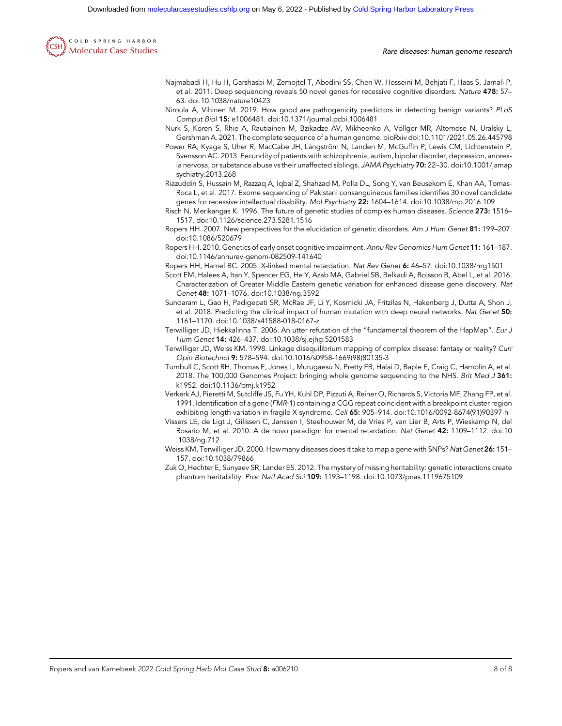Downloaded from [molecularcasestudies.cshlp.org](http://molecularcasestudies.cshlp.org/) on May 6, 2022 - Published by [Cold Spring Harbor Laboratory Press](http://www.cshlpress.com)



Rare diseases: human genome research

- Najmabadi H, Hu H, Garshasbi M, Zemojtel T, Abedini SS, Chen W, Hosseini M, Behjati F, Haas S, Jamali P, et al. 2011. Deep sequencing reveals 50 novel genes for recessive cognitive disorders. Nature 478: 57-63. doi:10.1038/nature10423
- Niroula A, Vihinen M. 2019. How good are pathogenicity predictors in detecting benign variants? PLoS Comput Biol 15: e1006481. doi:10.1371/journal.pcbi.1006481
- Nurk S, Koren S, Rhie A, Rautiainen M, Bzikadze AV, Mikheenko A, Vollger MR, Altemose N, Uralsky L, Gershman A. 2021. The complete sequence of a human genome. bioRxiv doi:10.1101/2021.05.26.445798
- Power RA, Kyaga S, Uher R, MacCabe JH, Långström N, Landen M, McGuffin P, Lewis CM, Lichtenstein P, Svensson AC. 2013. Fecundity of patients with schizophrenia, autism, bipolar disorder, depression, anorexia nervosa, or substance abuse vs their unaffected siblings. JAMA Psychiatry 70: 22-30. doi:10.1001/jamap sychiatry.2013.268
- Riazuddin S, Hussain M, Razzaq A, Iqbal Z, Shahzad M, Polla DL, Song Y, van Beusekom E, Khan AA, Tomas-Roca L, et al. 2017. Exome sequencing of Pakistani consanguineous families identifies 30 novel candidate genes for recessive intellectual disability. Mol Psychiatry 22: 1604–1614. doi:10.1038/mp.2016.109
- Risch N, Merikangas K. 1996. The future of genetic studies of complex human diseases. Science 273: 1516– 1517. doi:10.1126/science.273.5281.1516
- Ropers HH. 2007. New perspectives for the elucidation of genetic disorders. Am J Hum Genet 81: 199–207. doi:10.1086/520679
- Ropers HH. 2010. Genetics of early onset cognitive impairment. Annu Rev Genomics Hum Genet 11: 161–187. doi:10.1146/annurev-genom-082509-141640
- Ropers HH, Hamel BC. 2005. X-linked mental retardation. Nat Rev Genet 6: 46–57. doi:10.1038/nrg1501
- Scott EM, Halees A, Itan Y, Spencer EG, He Y, Azab MA, Gabriel SB, Belkadi A, Boisson B, Abel L, et al. 2016. Characterization of Greater Middle Eastern genetic variation for enhanced disease gene discovery. Nat Genet 48: 1071–1076. doi:10.1038/ng.3592
- Sundaram L, Gao H, Padigepati SR, McRae JF, Li Y, Kosmicki JA, Fritzilas N, Hakenberg J, Dutta A, Shon J, et al. 2018. Predicting the clinical impact of human mutation with deep neural networks. Nat Genet 50: 1161–1170. doi:10.1038/s41588-018-0167-z
- Terwilliger JD, Hiekkalinna T. 2006. An utter refutation of the "fundamental theorem of the HapMap". Eur J Hum Genet 14: 426–437. doi:10.1038/sj.ejhg.5201583
- Terwilliger JD, Weiss KM. 1998. Linkage disequilibrium mapping of complex disease: fantasy or reality? Curr Opin Biotechnol 9: 578–594. doi:10.1016/s0958-1669(98)80135-3
- Turnbull C, Scott RH, Thomas E, Jones L, Murugaesu N, Pretty FB, Halai D, Baple E, Craig C, Hamblin A, et al. 2018. The 100,000 Genomes Project: bringing whole genome sequencing to the NHS. Brit Med J 361: k1952. doi:10.1136/bmj.k1952
- Verkerk AJ, Pieretti M, Sutcliffe JS, Fu YH, Kuhl DP, Pizzuti A, Reiner O, Richards S, Victoria MF, Zhang FP, et al. 1991. Identification of a gene (FMR-1) containing a CGG repeat coincident with a breakpoint cluster region exhibiting length variation in fragile X syndrome. Cell 65: 905–914. doi:10.1016/0092-8674(91)90397-h
- Vissers LE, de Ligt J, Gilissen C, Janssen I, Steehouwer M, de Vries P, van Lier B, Arts P, Wieskamp N, del Rosario M, et al. 2010. A de novo paradigm for mental retardation. Nat Genet 42: 1109–1112. doi:10 .1038/ng.712
- Weiss KM, Terwilliger JD. 2000. How many diseases does it take to map a gene with SNPs? Nat Genet 26: 151-157. doi:10.1038/79866
- Zuk O, Hechter E, Sunyaev SR, Lander ES. 2012. The mystery of missing heritability: genetic interactions create phantom heritability. Proc Natl Acad Sci 109: 1193–1198. doi:10.1073/pnas.1119675109